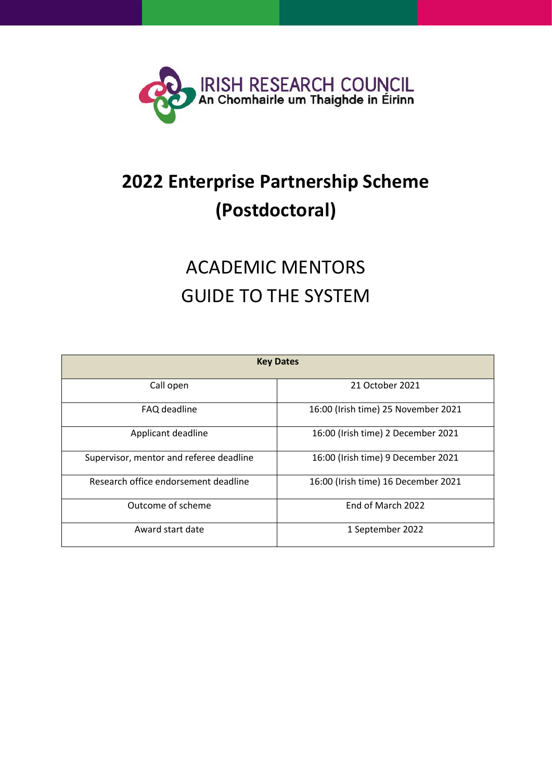

## **2022 Enterprise Partnership Scheme (Postdoctoral)**

# ACADEMIC MENTORS GUIDE TO THE SYSTEM

|                                         | <b>Key Dates</b>                    |
|-----------------------------------------|-------------------------------------|
| Call open                               | 21 October 2021                     |
| FAQ deadline                            | 16:00 (Irish time) 25 November 2021 |
| Applicant deadline                      | 16:00 (Irish time) 2 December 2021  |
| Supervisor, mentor and referee deadline | 16:00 (Irish time) 9 December 2021  |
| Research office endorsement deadline    | 16:00 (Irish time) 16 December 2021 |
| Outcome of scheme                       | End of March 2022                   |
| Award start date                        | 1 September 2022                    |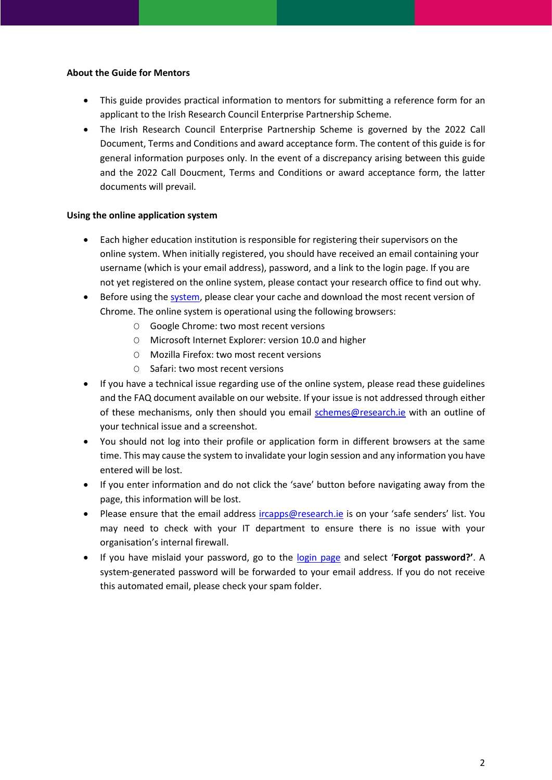#### **About the Guide for Mentors**

- This guide provides practical information to mentors for submitting a reference form for an applicant to the Irish Research Council Enterprise Partnership Scheme.
- The Irish Research Council Enterprise Partnership Scheme is governed by the 2022 Call Document, Terms and Conditions and award acceptance form. The content of this guide is for general information purposes only. In the event of a discrepancy arising between this guide and the 2022 Call Doucment, Terms and Conditions or award acceptance form, the latter documents will prevail.

### **Using the online application system**

- Each higher education institution is responsible for registering their supervisors on the online system. When initially registered, you should have received an email containing your username (which is your email address), password, and a link to the login page. If you are not yet registered on the online system, please contact your research office to find out why.
- Before using the [system,](https://irishresearch.smartsimple.ie/s_Login.jsp) please clear your cache and download the most recent version of Chrome. The online system is operational using the following browsers:
	- O Google Chrome: two most recent versions
	- O Microsoft Internet Explorer: version 10.0 and higher
	- O Mozilla Firefox: two most recent versions
	- O Safari: two most recent versions
- If you have a technical issue regarding use of the online system, please read these guidelines and the FAQ document available on our website. If your issue is not addressed through either of these mechanisms, only then should you email [schemes@research.ie](mailto:schemes@research.ie) with an outline of your technical issue and a screenshot.
- You should not log into their profile or application form in different browsers at the same time. This may cause the system to invalidate your login session and any information you have entered will be lost.
- If you enter information and do not click the 'save' button before navigating away from the page, this information will be lost.
- Please ensure that the email address [ircapps@research.ie](mailto:ircapps@research.ie) is on your 'safe senders' list. You may need to check with your IT department to ensure there is no issue with your organisation's internal firewall.
- If you have mislaid your password, go to the [login page](https://irishresearch.smartsimple.ie/s_Login.jsp) and select '**Forgot password?'**. A system-generated password will be forwarded to your email address. If you do not receive this automated email, please check your spam folder.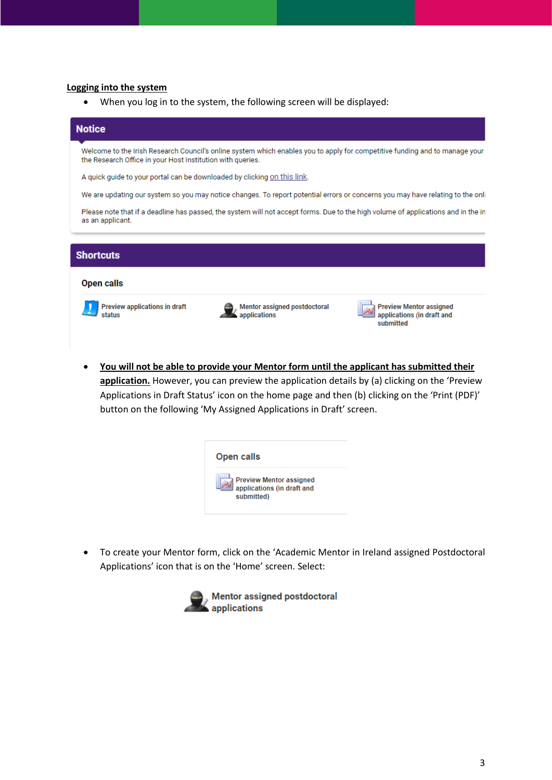#### **Logging into the system**

• When you log in to the system, the following screen will be displayed:

### **Notice** Welcome to the Irish Research Council's online system which enables you to apply for competitive funding and to manage your the Research Office in your Host Institution with queries. A quick guide to your portal can be downloaded by clicking on this link. We are updating our system so you may notice changes. To report potential errors or concerns you may have relating to the onli Please note that if a deadline has passed, the system will not accept forms. Due to the high volume of applications and in the in as an applicant. **Shortcuts Open calls Preview applications in draft** Mentor assigned postdoctoral **Preview Mentor assigned** Mentor assig<br><mark>A applications</mark> applications (in draft and status submitted

• **You will not be able to provide your Mentor form until the applicant has submitted their**  application. However, you can preview the application details by (a) clicking on the 'Preview Applications in Draft Status' icon on the home page and then (b) clicking on the 'Print (PDF)' button on the following 'My Assigned Applications in Draft' screen.

| <b>Open calls</b>                                                          |
|----------------------------------------------------------------------------|
| <b>Preview Mentor assigned</b><br>applications (in draft and<br>submitted) |

• To create your Mentor form, click on the 'Academic Mentor in Ireland assigned Postdoctoral Applications' icon that is on the 'Home' screen. Select:

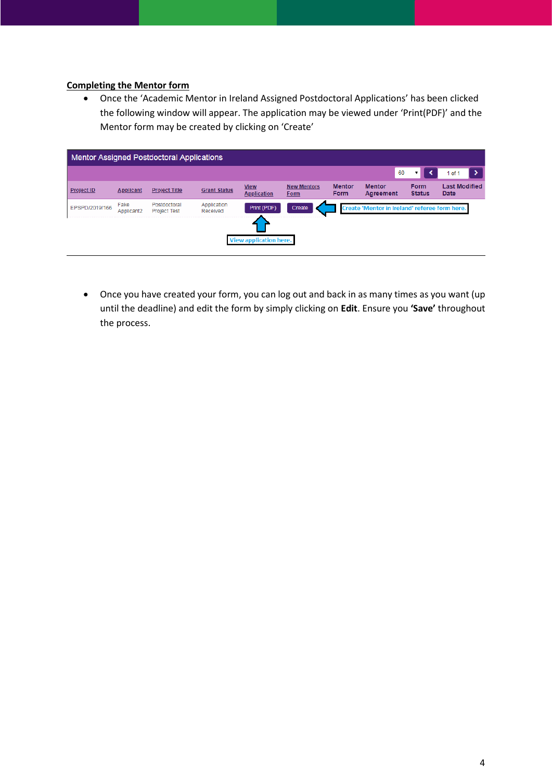#### **Completing the Mentor form**

• Once the 'Academic Mentor in Ireland Assigned Postdoctoral Applications' has been clicked the following window will appear. The application may be viewed under 'Print(PDF)' and the Mentor form may be created by clicking on 'Create'

| <b>Mentor Assigned Postdoctoral Applications</b> |                    |                                     |                         |                                   |                            |                              |                                               |                              |                              |
|--------------------------------------------------|--------------------|-------------------------------------|-------------------------|-----------------------------------|----------------------------|------------------------------|-----------------------------------------------|------------------------------|------------------------------|
|                                                  |                    |                                     |                         |                                   |                            |                              | 60                                            |                              | $1$ of $1$                   |
| <b>Project ID</b>                                | <b>Applicant</b>   | <b>Project Title</b>                | <b>Grant Status</b>     | <b>View</b><br><b>Application</b> | <b>New Mentors</b><br>Form | <b>Mentor</b><br><b>Form</b> | <b>Mentor</b><br>Agreement                    | <b>Form</b><br><b>Status</b> | <b>Last Modified</b><br>Date |
| EPSPD/2019/166                                   | Fake<br>Applicant2 | Postdoctoral<br><b>Project Test</b> | Application<br>Received | Print (PDF)                       | Create                     |                              | Create 'Mentor in Ireland' referee form here. |                              |                              |
|                                                  |                    |                                     |                         |                                   |                            |                              |                                               |                              |                              |
|                                                  |                    |                                     |                         | View application here.            |                            |                              |                                               |                              |                              |

• Once you have created your form, you can log out and back in as many times as you want (up until the deadline) and edit the form by simply clicking on **Edit**. Ensure you **'Save'** throughout the process.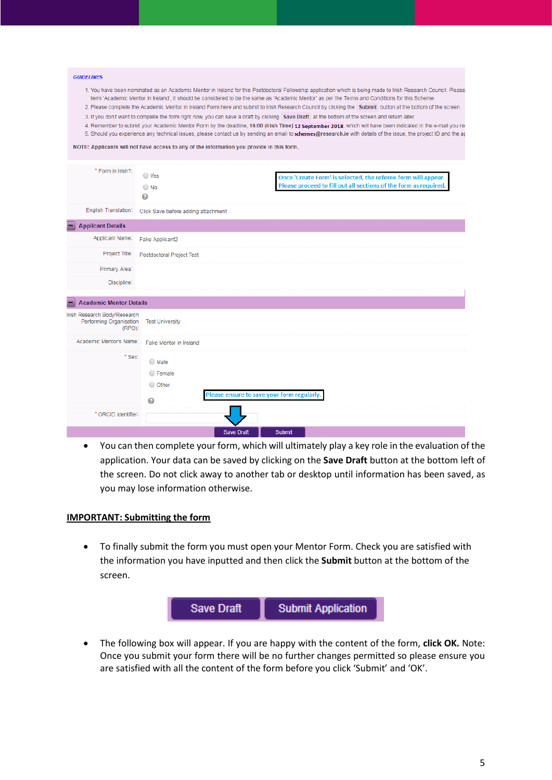#### **GUIDELINES**

- 1. You have been nominated as an Academic Mentor in Ireland for this Postdoctoral Fellowship application which is being made to Irish Research Council. Please term 'Academic Mentor in Ireland', it should be considered to be the same as 'Academic Mentor' as per the Terms and Conditions for this Scheme.
- 2. Please complete the Academic Mentor in Ireland Form here and submit to Irish Research Council by clicking the Submit button at the bottom of the screen. 3. If you don't want to complete the form right now, you can save a draft by clicking Save Draft at the bottom of the screen and return later.
- 4. Remember to submit your Academic Mentor Form by the deadline, 16:00 (Irish Time) 12 September 2018, which will have been indicated in the e-mail you re-
- 5. Should you experience any technical issues, please contact us by sending an email to schemes@research.ie with details of the issue, the project ID and the ar

NOTE: Applicants will not have access to any of the information you provide in this form.

| * Form in Irish?:                                       | ◯ Yes<br>$\bigcirc$ No<br>ℯ                           | Once 'Create Form' is selected, the referee form will appear.<br>Please proceed to fill out all sections of the form as required. |
|---------------------------------------------------------|-------------------------------------------------------|-----------------------------------------------------------------------------------------------------------------------------------|
| English Translation:                                    | Click Save before adding attachment                   |                                                                                                                                   |
| Ξ<br><b>Applicant Details</b>                           |                                                       |                                                                                                                                   |
| Applicant Name:                                         | Fake Applicant2                                       |                                                                                                                                   |
| Project Title:                                          | Postdoctoral Project Test                             |                                                                                                                                   |
| Primary Area:                                           |                                                       |                                                                                                                                   |
| Discipline:                                             |                                                       |                                                                                                                                   |
| <b>Academic Mentor Details</b><br>Ξ                     |                                                       |                                                                                                                                   |
| Irish Research Body/Research<br>Performing Organisation | <b>Test University</b><br>$(RPO)$ :                   |                                                                                                                                   |
| Academic Mentor's Name:                                 | Fake Mentor in Ireland                                |                                                                                                                                   |
|                                                         | * Sex:<br>$\bigcirc$ Male<br>○ Female<br>O Other<br>ℯ | Please ensure to save your form regularly.                                                                                        |
| * ORCID Identifier:                                     |                                                       |                                                                                                                                   |
|                                                         |                                                       | Save Draft<br>Submit                                                                                                              |

• You can then complete your form, which will ultimately play a key role in the evaluation of the application. Your data can be saved by clicking on the **Save Draft** button at the bottom left of the screen. Do not click away to another tab or desktop until information has been saved, as you may lose information otherwise.

#### **IMPORTANT: Submitting the form**

• To finally submit the form you must open your Mentor Form. Check you are satisfied with the information you have inputted and then click the **Submit** button at the bottom of the screen.



• The following box will appear. If you are happy with the content of the form, **click OK.** Note: Once you submit your form there will be no further changes permitted so please ensure you are satisfied with all the content of the form before you click 'Submit' and 'OK'.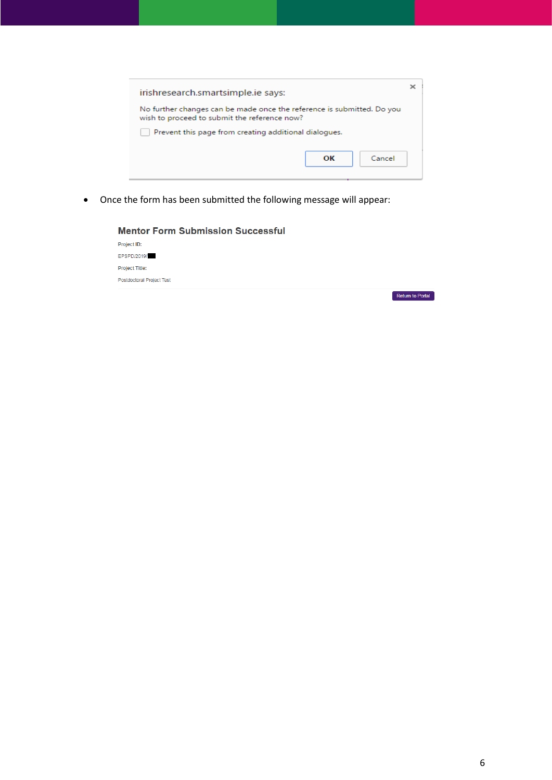| irishresearch.smartsimple.ie says:                                                                                     |  |
|------------------------------------------------------------------------------------------------------------------------|--|
| No further changes can be made once the reference is submitted. Do you<br>wish to proceed to submit the reference now? |  |
| Prevent this page from creating additional dialogues.                                                                  |  |
| Cancel<br>ОΚ                                                                                                           |  |

• Once the form has been submitted the following message will appear: